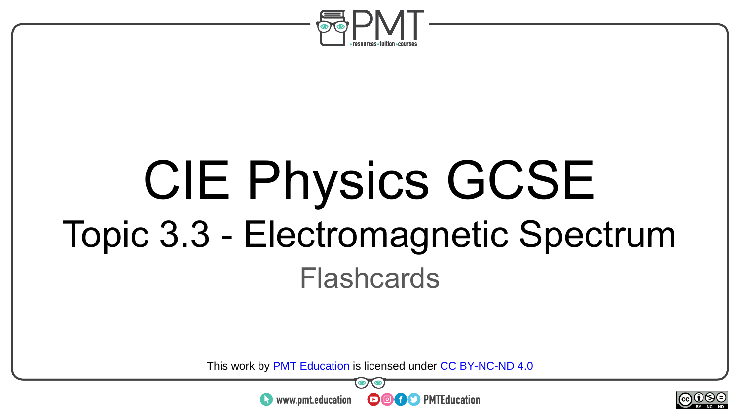

# CIE Physics GCSE Topic 3.3 - Electromagnetic Spectrum Flashcards

This work by <u>PMT Education</u> is licensed under CC BY-NC-ND 4.0<br>
www.pmt.education **in the COOC** PMTEducation



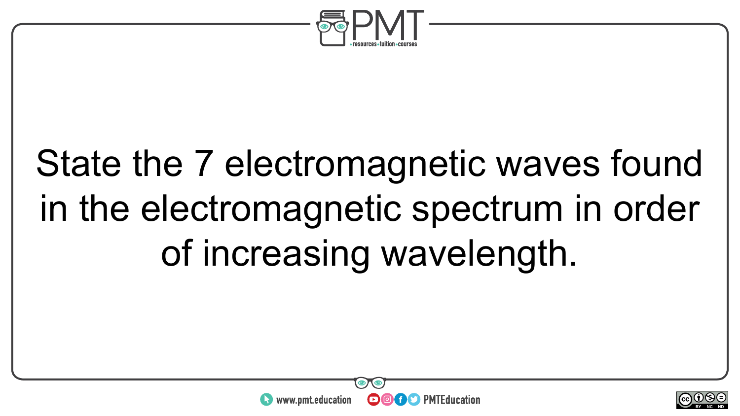

## State the 7 electromagnetic waves found in the electromagnetic spectrum in order of increasing wavelength.



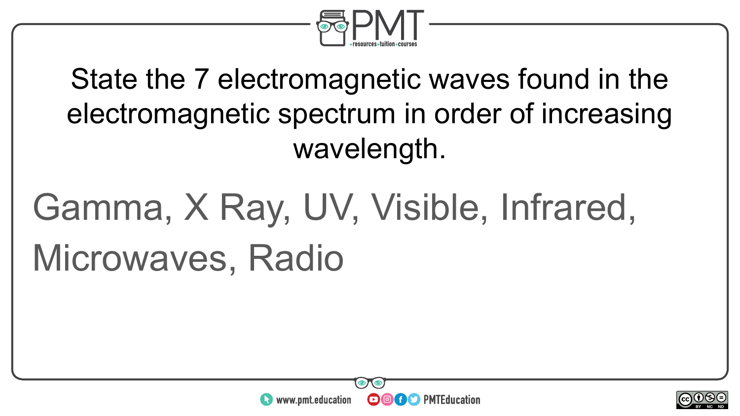

State the 7 electromagnetic waves found in the electromagnetic spectrum in order of increasing wavelength.

## Gamma, X Ray, UV, Visible, Infrared, Microwaves, Radio



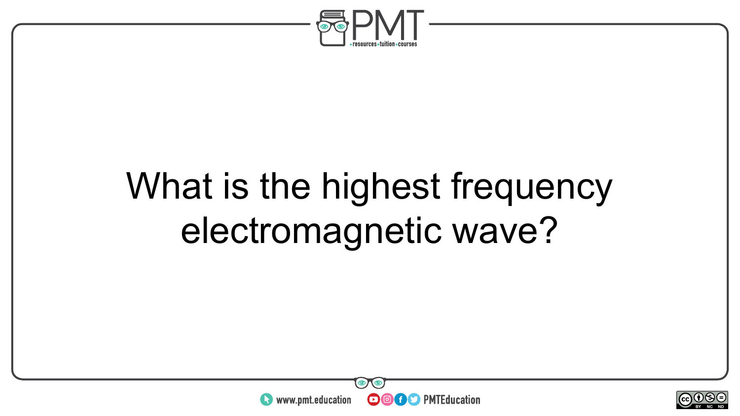

### What is the highest frequency electromagnetic wave?



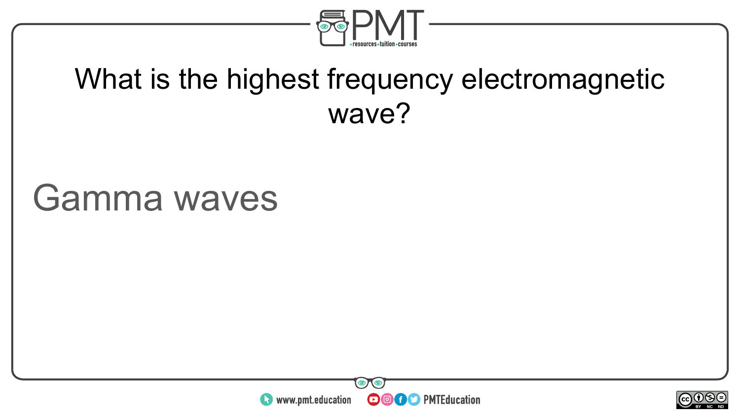

#### What is the highest frequency electromagnetic wave?

#### Gamma waves



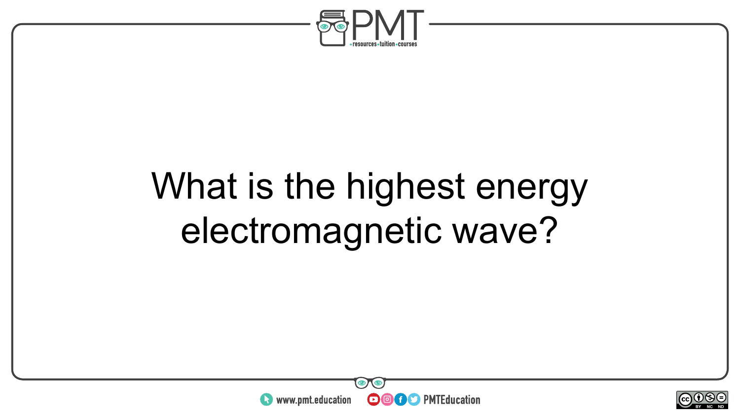

## What is the highest energy electromagnetic wave?



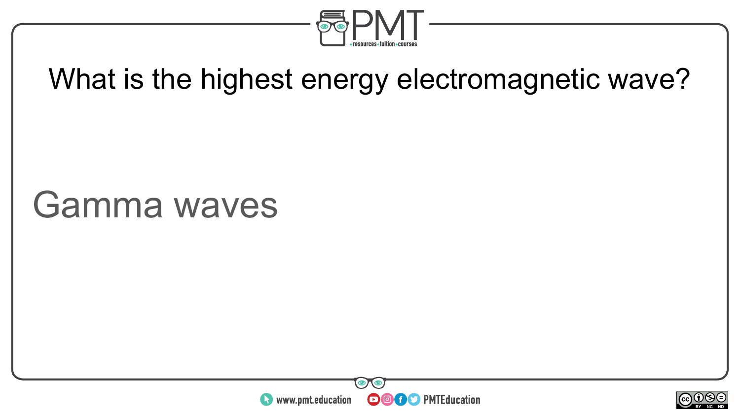

#### What is the highest energy electromagnetic wave?

#### Gamma waves



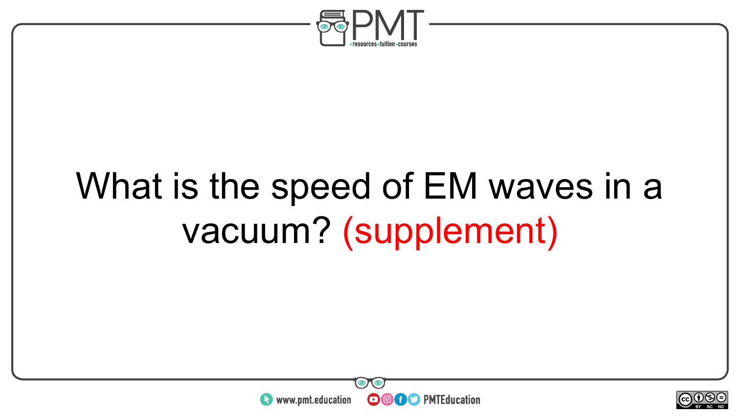

## What is the speed of EM waves in a vacuum? (supplement)



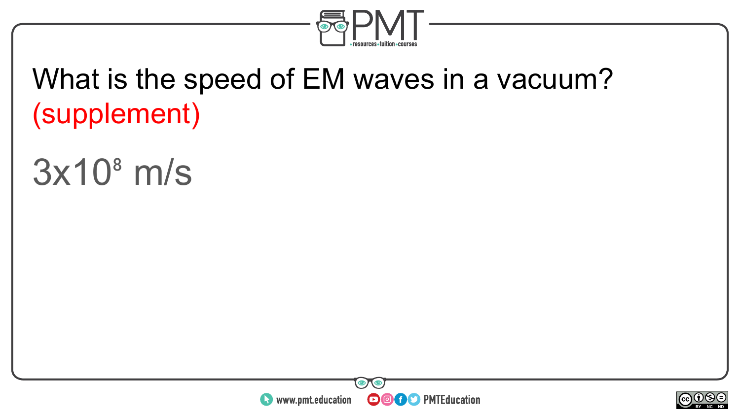

#### What is the speed of EM waves in a vacuum? (supplement)

#### $3x10<sup>8</sup>$  m/s



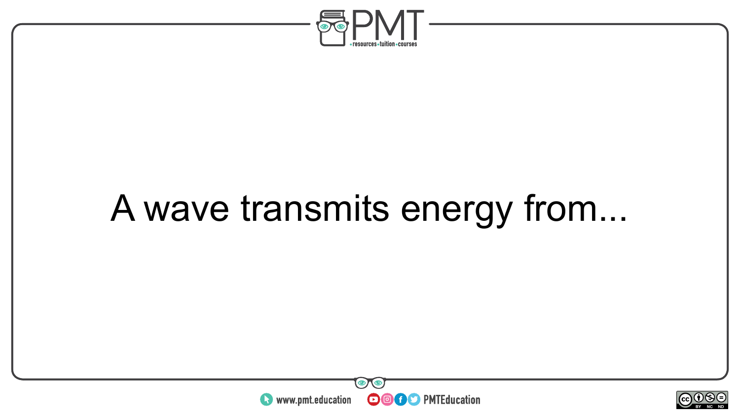

### A wave transmits energy from...



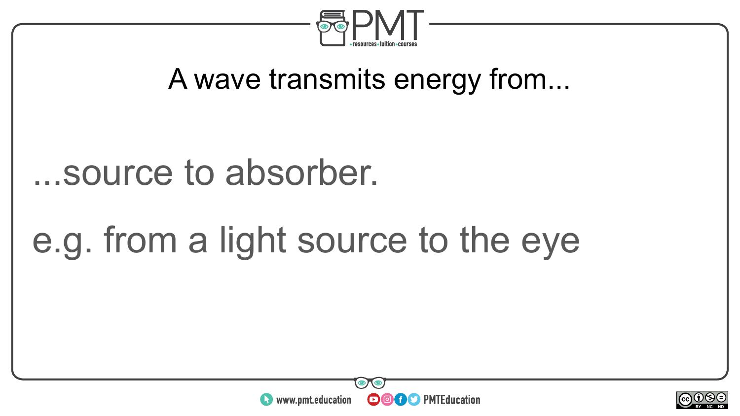

#### A wave transmits energy from...

#### ...source to absorber.

### e.g. from a light source to the eye



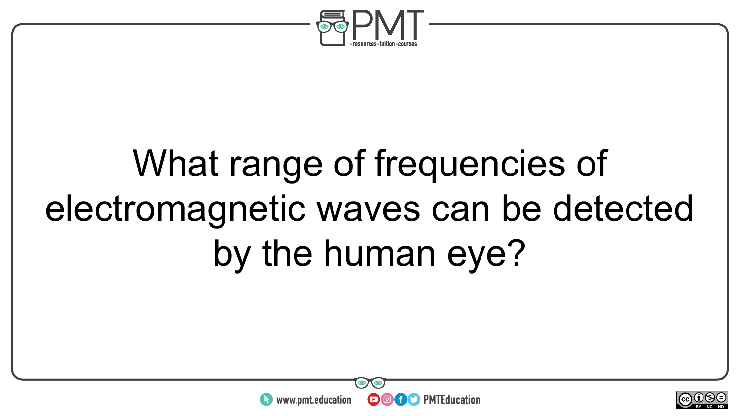

## What range of frequencies of electromagnetic waves can be detected by the human eye?



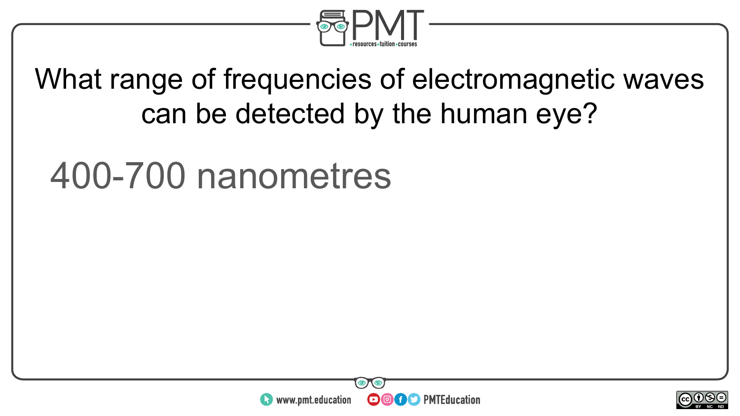

#### What range of frequencies of electromagnetic waves can be detected by the human eye?

#### 400-700 nanometres



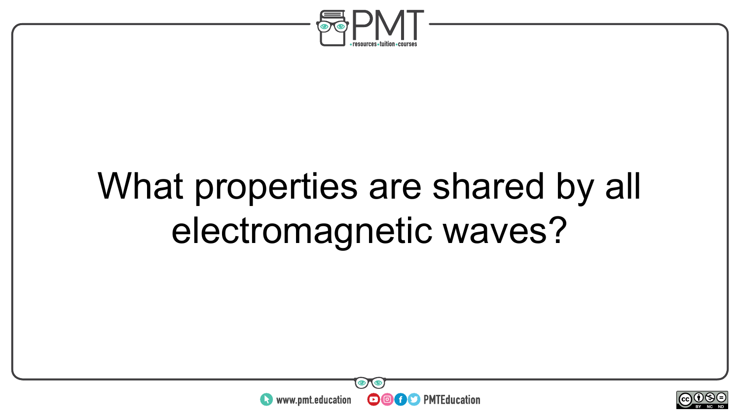

## What properties are shared by all electromagnetic waves?



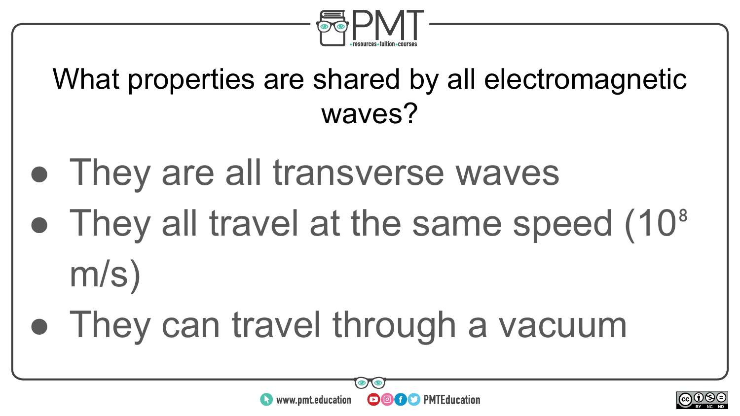

#### What properties are shared by all electromagnetic waves?

- They are all transverse waves
- They all travel at the same speed (10<sup>8</sup>) m/s)
- They can travel through a vacuum



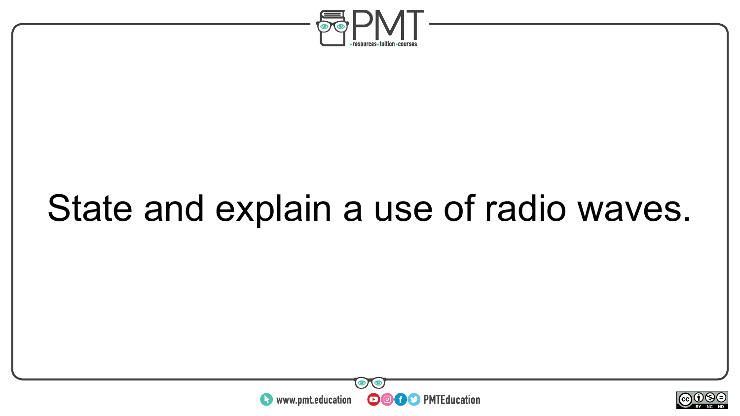

### State and explain a use of radio waves.



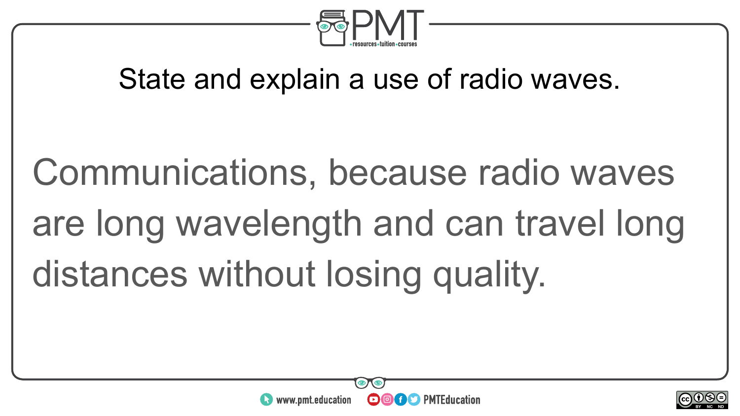

#### State and explain a use of radio waves.

Communications, because radio waves are long wavelength and can travel long distances without losing quality.



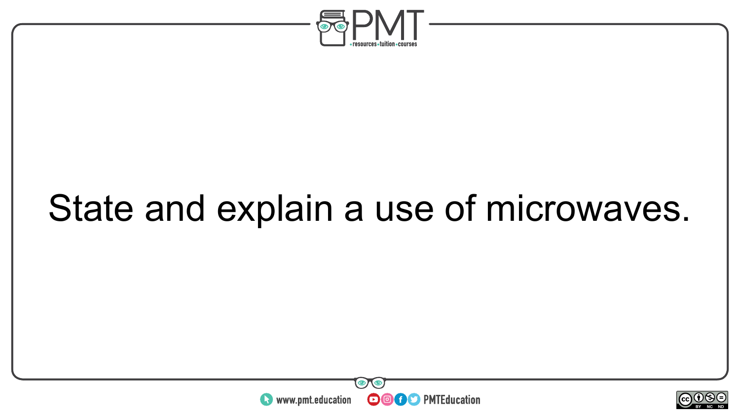

### State and explain a use of microwaves.



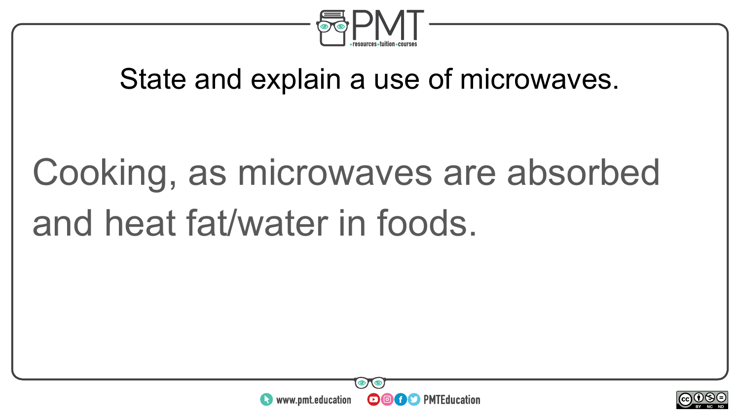

#### State and explain a use of microwaves.

# Cooking, as microwaves are absorbed and heat fat/water in foods.



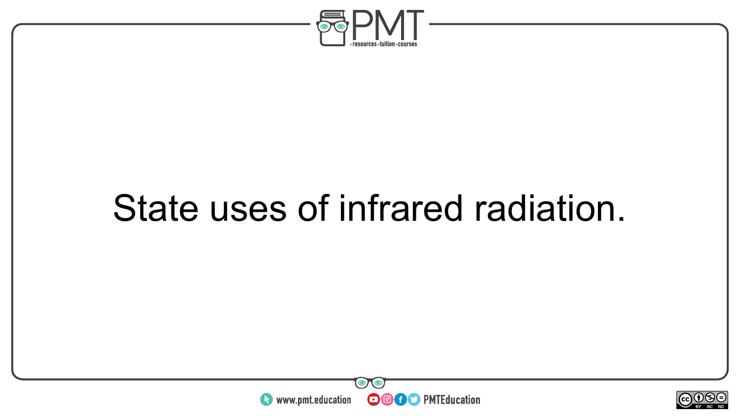

### State uses of infrared radiation.



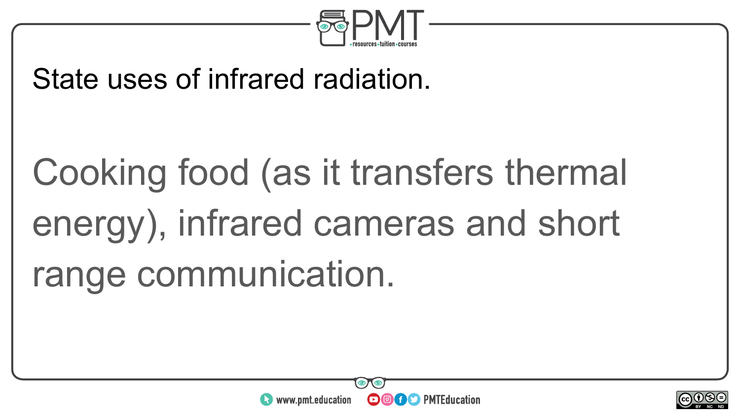

#### State uses of infrared radiation.

# Cooking food (as it transfers thermal energy), infrared cameras and short range communication.



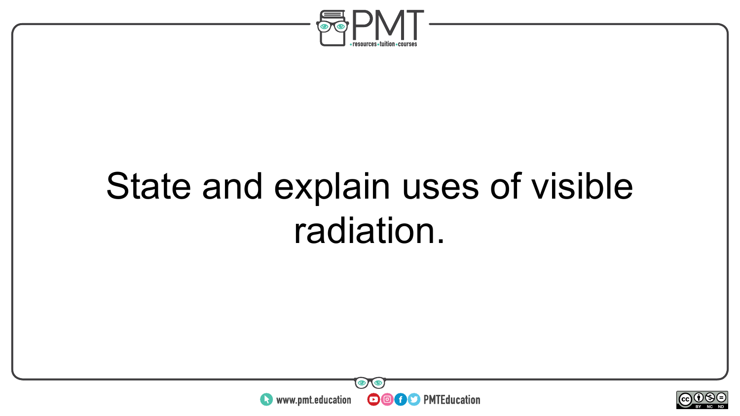

### State and explain uses of visible radiation.



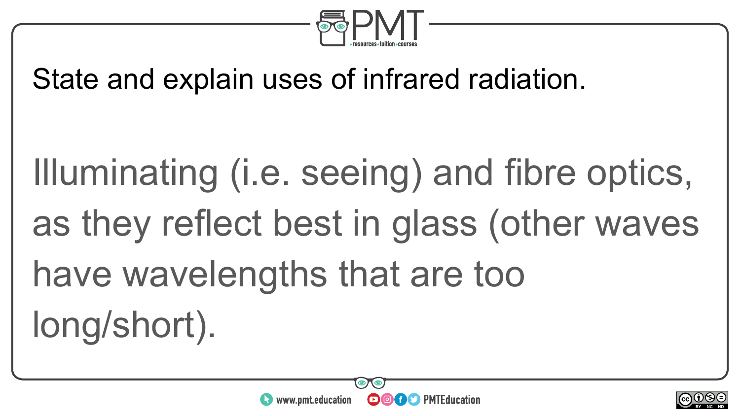

#### State and explain uses of infrared radiation.

Illuminating (i.e. seeing) and fibre optics, as they reflect best in glass (other waves have wavelengths that are too long/short).



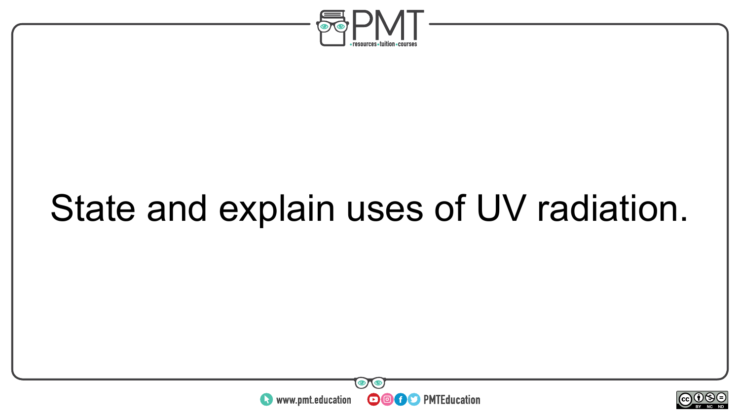

### State and explain uses of UV radiation.



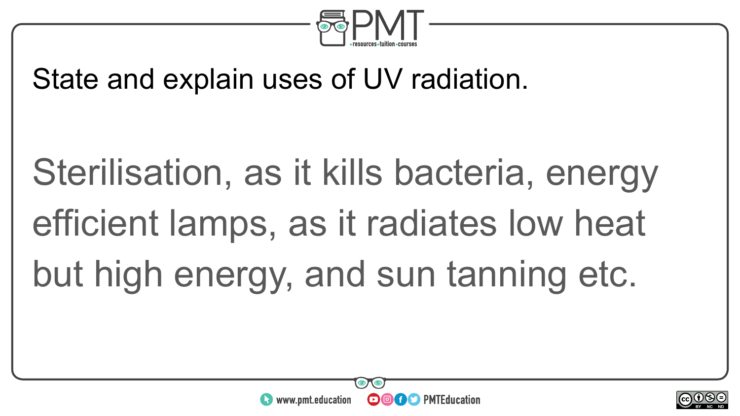

State and explain uses of UV radiation.

Sterilisation, as it kills bacteria, energy efficient lamps, as it radiates low heat but high energy, and sun tanning etc.



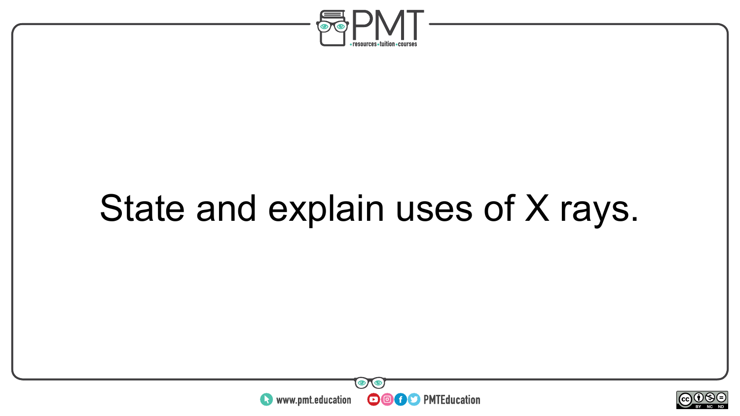

### State and explain uses of X rays.



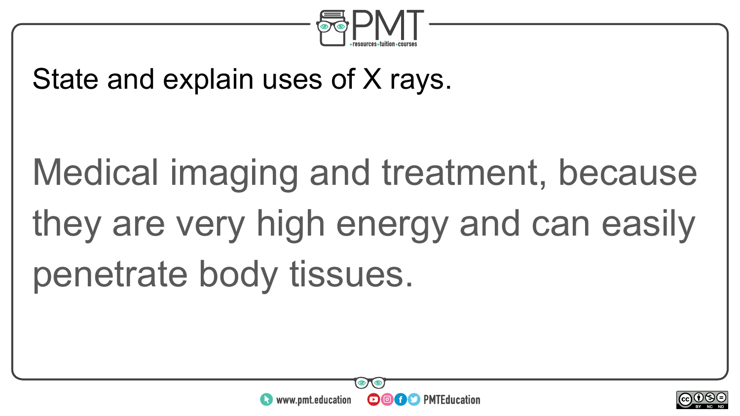

#### State and explain uses of X rays.

# Medical imaging and treatment, because they are very high energy and can easily penetrate body tissues.



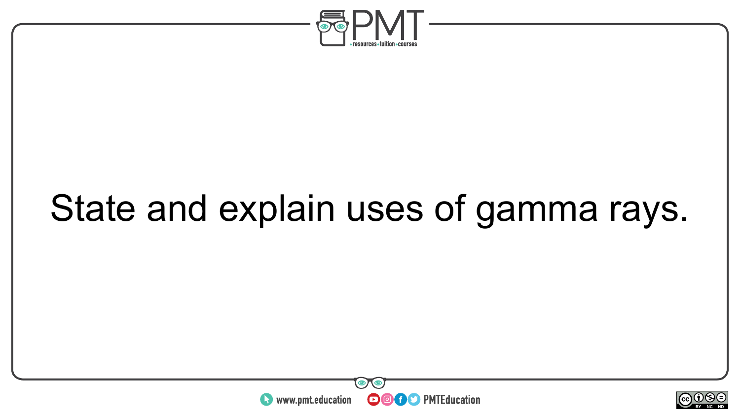

### State and explain uses of gamma rays.



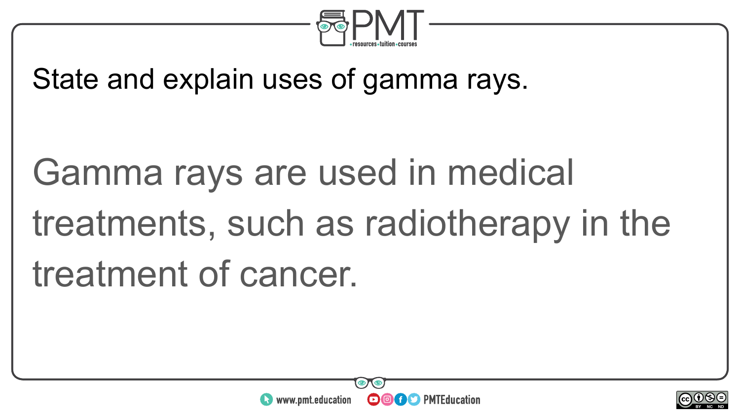

State and explain uses of gamma rays.

Gamma rays are used in medical treatments, such as radiotherapy in the treatment of cancer.



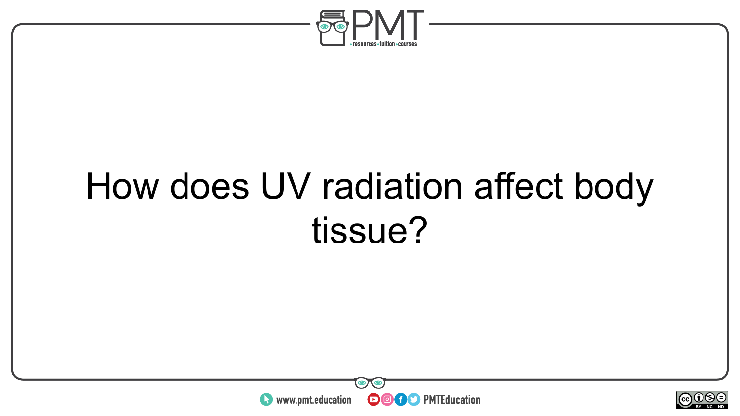

### How does UV radiation affect body tissue?



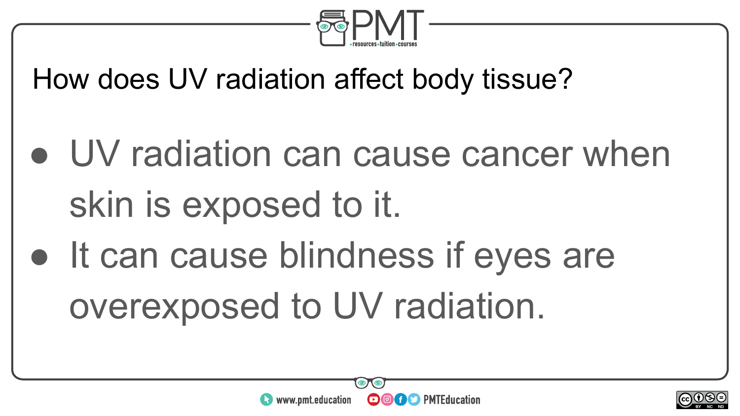

How does UV radiation affect body tissue?

• UV radiation can cause cancer when skin is exposed to it. • It can cause blindness if eyes are overexposed to UV radiation.



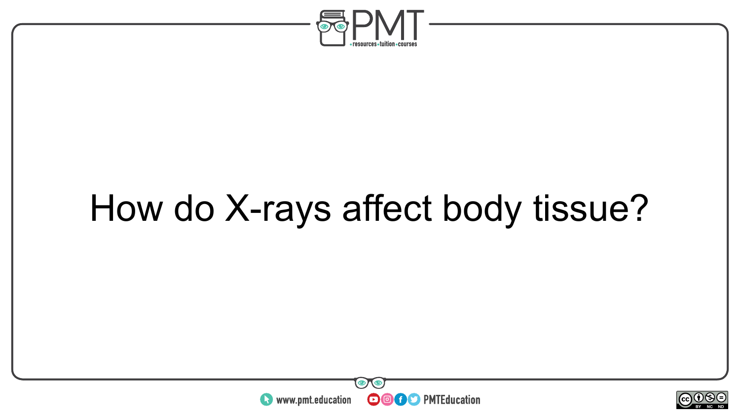

## How do X-rays affect body tissue?



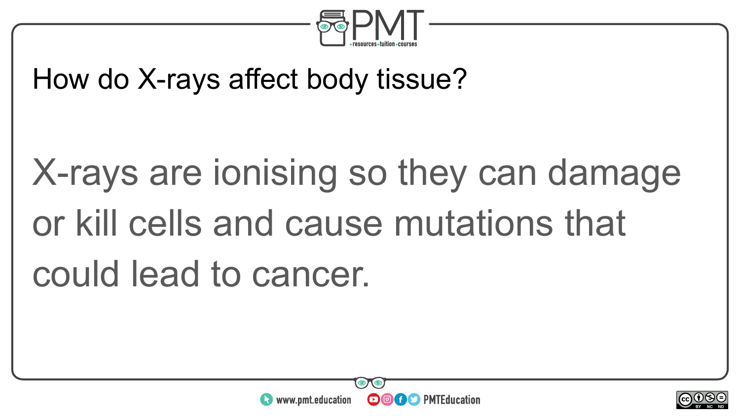

#### How do X-rays affect body tissue?

# X-rays are ionising so they can damage or kill cells and cause mutations that could lead to cancer.



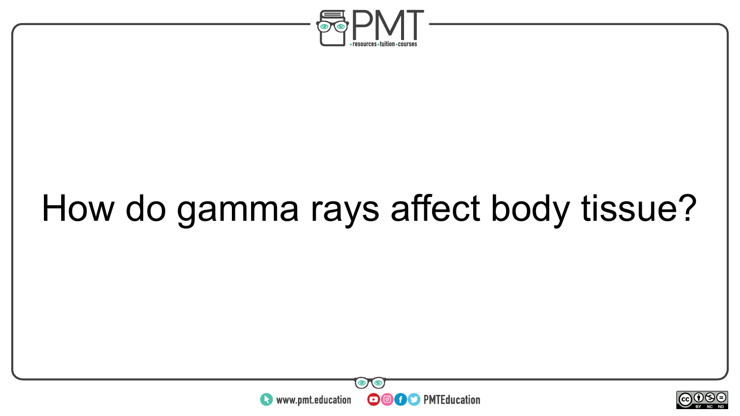

## How do gamma rays affect body tissue?